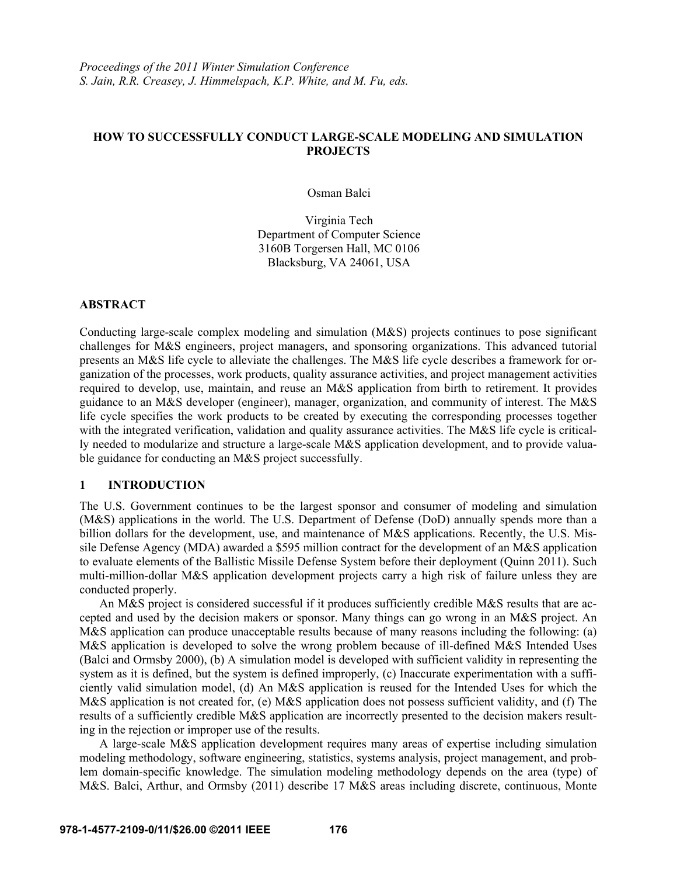## **HOW TO SUCCESSFULLY CONDUCT LARGE-SCALE MODELING AND SIMULATION PROJECTS**

Osman Balci

Virginia Tech Department of Computer Science 3160B Torgersen Hall, MC 0106 Blacksburg, VA 24061, USA

## **ABSTRACT**

Conducting large-scale complex modeling and simulation (M&S) projects continues to pose significant challenges for M&S engineers, project managers, and sponsoring organizations. This advanced tutorial presents an M&S life cycle to alleviate the challenges. The M&S life cycle describes a framework for organization of the processes, work products, quality assurance activities, and project management activities required to develop, use, maintain, and reuse an M&S application from birth to retirement. It provides guidance to an M&S developer (engineer), manager, organization, and community of interest. The M&S life cycle specifies the work products to be created by executing the corresponding processes together with the integrated verification, validation and quality assurance activities. The M&S life cycle is critically needed to modularize and structure a large-scale M&S application development, and to provide valuable guidance for conducting an M&S project successfully.

#### **1 INTRODUCTION**

The U.S. Government continues to be the largest sponsor and consumer of modeling and simulation (M&S) applications in the world. The U.S. Department of Defense (DoD) annually spends more than a billion dollars for the development, use, and maintenance of M&S applications. Recently, the U.S. Missile Defense Agency (MDA) awarded a \$595 million contract for the development of an M&S application to evaluate elements of the Ballistic Missile Defense System before their deployment (Quinn 2011). Such multi-million-dollar M&S application development projects carry a high risk of failure unless they are conducted properly.

An M&S project is considered successful if it produces sufficiently credible M&S results that are accepted and used by the decision makers or sponsor. Many things can go wrong in an M&S project. An M&S application can produce unacceptable results because of many reasons including the following: (a) M&S application is developed to solve the wrong problem because of ill-defined M&S Intended Uses (Balci and Ormsby 2000), (b) A simulation model is developed with sufficient validity in representing the system as it is defined, but the system is defined improperly, (c) Inaccurate experimentation with a sufficiently valid simulation model, (d) An M&S application is reused for the Intended Uses for which the M&S application is not created for, (e) M&S application does not possess sufficient validity, and (f) The results of a sufficiently credible M&S application are incorrectly presented to the decision makers resulting in the rejection or improper use of the results.

A large-scale M&S application development requires many areas of expertise including simulation modeling methodology, software engineering, statistics, systems analysis, project management, and problem domain-specific knowledge. The simulation modeling methodology depends on the area (type) of M&S. Balci, Arthur, and Ormsby (2011) describe 17 M&S areas including discrete, continuous, Monte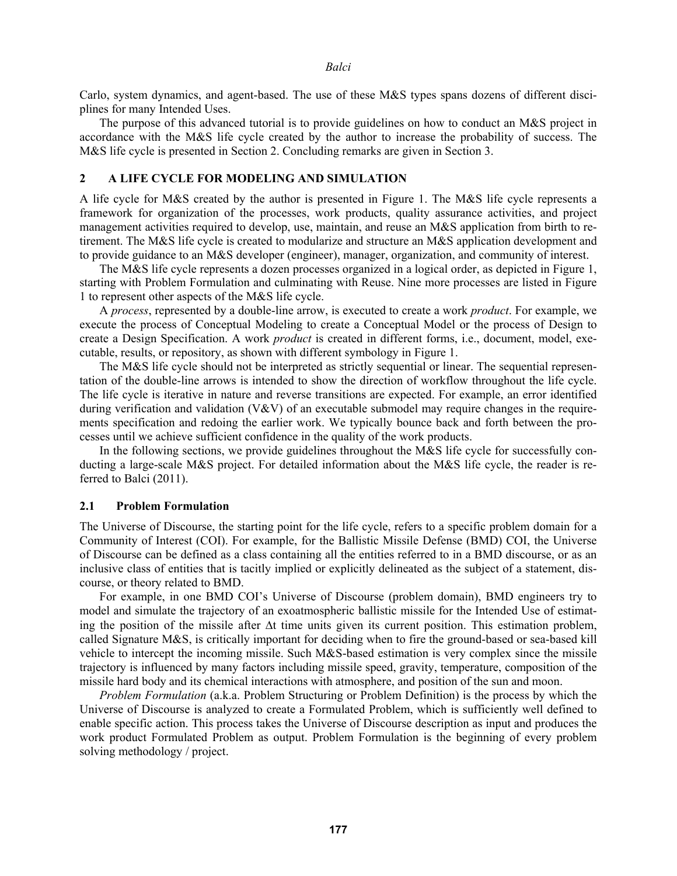Carlo, system dynamics, and agent-based. The use of these M&S types spans dozens of different disciplines for many Intended Uses.

The purpose of this advanced tutorial is to provide guidelines on how to conduct an M&S project in accordance with the M&S life cycle created by the author to increase the probability of success. The M&S life cycle is presented in Section 2. Concluding remarks are given in Section 3.

### **2 A LIFE CYCLE FOR MODELING AND SIMULATION**

A life cycle for M&S created by the author is presented in Figure 1. The M&S life cycle represents a framework for organization of the processes, work products, quality assurance activities, and project management activities required to develop, use, maintain, and reuse an M&S application from birth to retirement. The M&S life cycle is created to modularize and structure an M&S application development and to provide guidance to an M&S developer (engineer), manager, organization, and community of interest.

The M&S life cycle represents a dozen processes organized in a logical order, as depicted in Figure 1, starting with Problem Formulation and culminating with Reuse. Nine more processes are listed in Figure 1 to represent other aspects of the M&S life cycle.

A *process*, represented by a double-line arrow, is executed to create a work *product*. For example, we execute the process of Conceptual Modeling to create a Conceptual Model or the process of Design to create a Design Specification. A work *product* is created in different forms, i.e., document, model, executable, results, or repository, as shown with different symbology in Figure 1.

The M&S life cycle should not be interpreted as strictly sequential or linear. The sequential representation of the double-line arrows is intended to show the direction of workflow throughout the life cycle. The life cycle is iterative in nature and reverse transitions are expected. For example, an error identified during verification and validation  $(V&V)$  of an executable submodel may require changes in the requirements specification and redoing the earlier work. We typically bounce back and forth between the processes until we achieve sufficient confidence in the quality of the work products.

In the following sections, we provide guidelines throughout the M&S life cycle for successfully conducting a large-scale M&S project. For detailed information about the M&S life cycle, the reader is referred to Balci (2011).

#### **2.1 Problem Formulation**

The Universe of Discourse, the starting point for the life cycle, refers to a specific problem domain for a Community of Interest (COI). For example, for the Ballistic Missile Defense (BMD) COI, the Universe of Discourse can be defined as a class containing all the entities referred to in a BMD discourse, or as an inclusive class of entities that is tacitly implied or explicitly delineated as the subject of a statement, discourse, or theory related to BMD.

For example, in one BMD COI's Universe of Discourse (problem domain), BMD engineers try to model and simulate the trajectory of an exoatmospheric ballistic missile for the Intended Use of estimating the position of the missile after  $\Delta t$  time units given its current position. This estimation problem, called Signature M&S, is critically important for deciding when to fire the ground-based or sea-based kill vehicle to intercept the incoming missile. Such M&S-based estimation is very complex since the missile trajectory is influenced by many factors including missile speed, gravity, temperature, composition of the missile hard body and its chemical interactions with atmosphere, and position of the sun and moon.

*Problem Formulation* (a.k.a. Problem Structuring or Problem Definition) is the process by which the Universe of Discourse is analyzed to create a Formulated Problem, which is sufficiently well defined to enable specific action. This process takes the Universe of Discourse description as input and produces the work product Formulated Problem as output. Problem Formulation is the beginning of every problem solving methodology / project.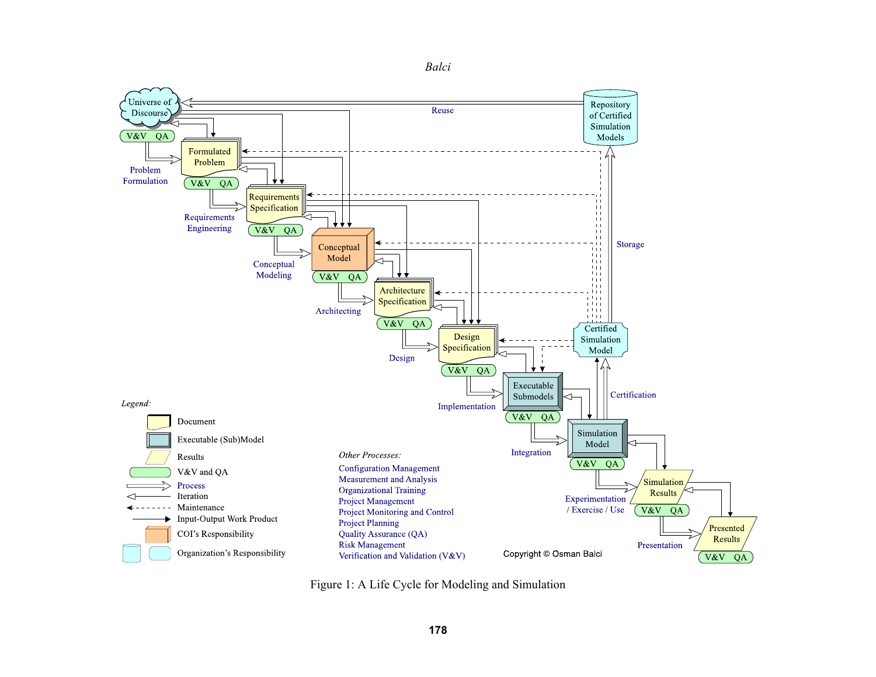

Figure 1: A Life Cycle for Modeling and Simulation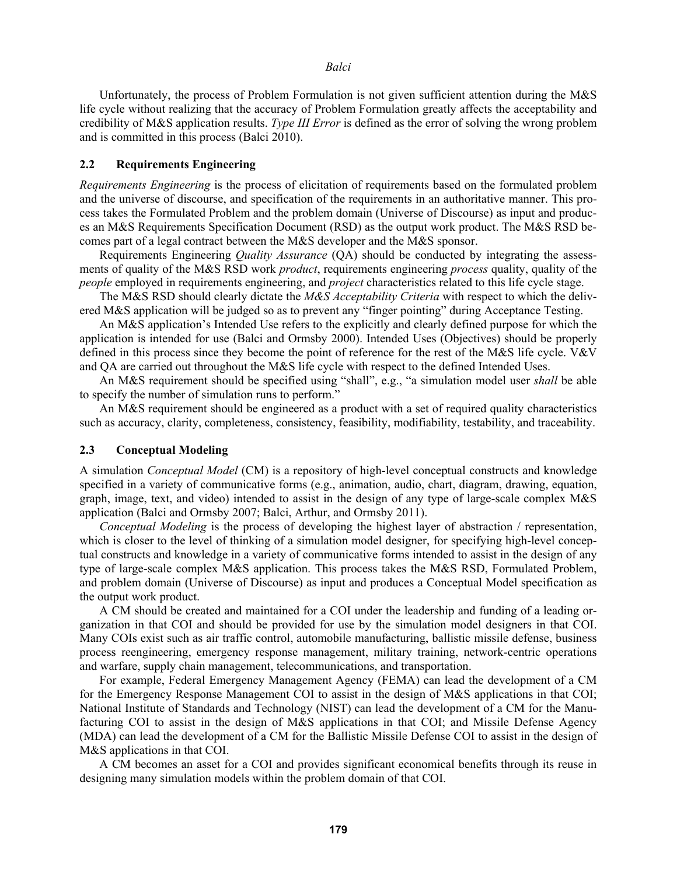Unfortunately, the process of Problem Formulation is not given sufficient attention during the M&S life cycle without realizing that the accuracy of Problem Formulation greatly affects the acceptability and credibility of M&S application results. *Type III Error* is defined as the error of solving the wrong problem and is committed in this process (Balci 2010).

### **2.2 Requirements Engineering**

*Requirements Engineering* is the process of elicitation of requirements based on the formulated problem and the universe of discourse, and specification of the requirements in an authoritative manner. This process takes the Formulated Problem and the problem domain (Universe of Discourse) as input and produces an M&S Requirements Specification Document (RSD) as the output work product. The M&S RSD becomes part of a legal contract between the M&S developer and the M&S sponsor.

Requirements Engineering *Quality Assurance* (QA) should be conducted by integrating the assessments of quality of the M&S RSD work *product*, requirements engineering *process* quality, quality of the *people* employed in requirements engineering, and *project* characteristics related to this life cycle stage.

The M&S RSD should clearly dictate the *M&S Acceptability Criteria* with respect to which the delivered M&S application will be judged so as to prevent any "finger pointing" during Acceptance Testing.

An M&S application's Intended Use refers to the explicitly and clearly defined purpose for which the application is intended for use (Balci and Ormsby 2000). Intended Uses (Objectives) should be properly defined in this process since they become the point of reference for the rest of the M&S life cycle. V&V and QA are carried out throughout the M&S life cycle with respect to the defined Intended Uses.

An M&S requirement should be specified using "shall", e.g., "a simulation model user *shall* be able to specify the number of simulation runs to perform."

An M&S requirement should be engineered as a product with a set of required quality characteristics such as accuracy, clarity, completeness, consistency, feasibility, modifiability, testability, and traceability.

#### **2.3 Conceptual Modeling**

A simulation *Conceptual Model* (CM) is a repository of high-level conceptual constructs and knowledge specified in a variety of communicative forms (e.g., animation, audio, chart, diagram, drawing, equation, graph, image, text, and video) intended to assist in the design of any type of large-scale complex M&S application (Balci and Ormsby 2007; Balci, Arthur, and Ormsby 2011).

*Conceptual Modeling* is the process of developing the highest layer of abstraction / representation, which is closer to the level of thinking of a simulation model designer, for specifying high-level conceptual constructs and knowledge in a variety of communicative forms intended to assist in the design of any type of large-scale complex M&S application. This process takes the M&S RSD, Formulated Problem, and problem domain (Universe of Discourse) as input and produces a Conceptual Model specification as the output work product.

A CM should be created and maintained for a COI under the leadership and funding of a leading organization in that COI and should be provided for use by the simulation model designers in that COI. Many COIs exist such as air traffic control, automobile manufacturing, ballistic missile defense, business process reengineering, emergency response management, military training, network-centric operations and warfare, supply chain management, telecommunications, and transportation.

For example, Federal Emergency Management Agency (FEMA) can lead the development of a CM for the Emergency Response Management COI to assist in the design of M&S applications in that COI; National Institute of Standards and Technology (NIST) can lead the development of a CM for the Manufacturing COI to assist in the design of M&S applications in that COI; and Missile Defense Agency (MDA) can lead the development of a CM for the Ballistic Missile Defense COI to assist in the design of M&S applications in that COI.

A CM becomes an asset for a COI and provides significant economical benefits through its reuse in designing many simulation models within the problem domain of that COI.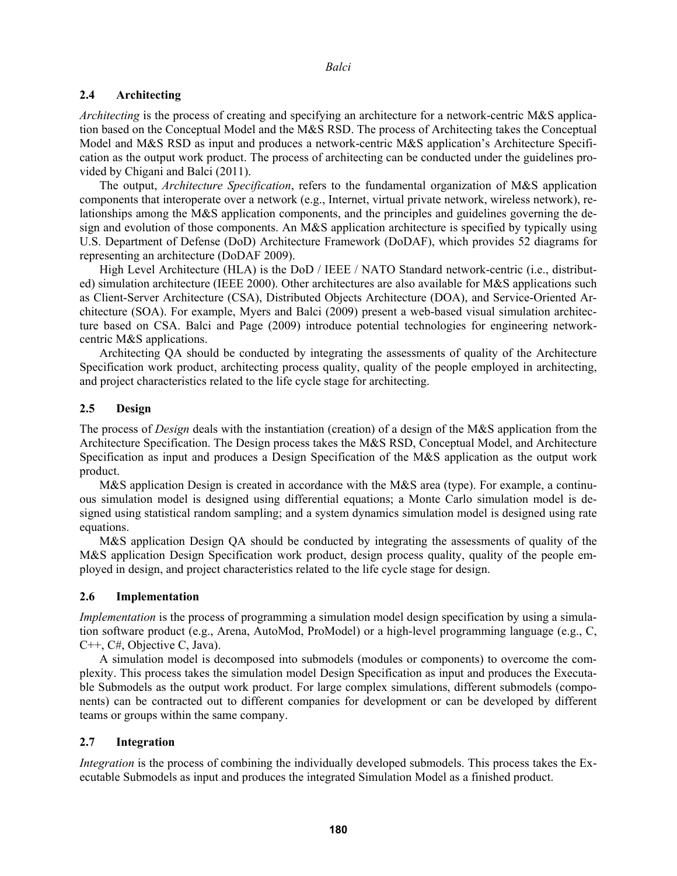# **2.4 Architecting**

*Architecting* is the process of creating and specifying an architecture for a network-centric M&S application based on the Conceptual Model and the M&S RSD. The process of Architecting takes the Conceptual Model and M&S RSD as input and produces a network-centric M&S application's Architecture Specification as the output work product. The process of architecting can be conducted under the guidelines provided by Chigani and Balci (2011).

The output, *Architecture Specification*, refers to the fundamental organization of M&S application components that interoperate over a network (e.g., Internet, virtual private network, wireless network), relationships among the M&S application components, and the principles and guidelines governing the design and evolution of those components. An M&S application architecture is specified by typically using U.S. Department of Defense (DoD) Architecture Framework (DoDAF), which provides 52 diagrams for representing an architecture (DoDAF 2009).

High Level Architecture (HLA) is the DoD / IEEE / NATO Standard network-centric (i.e., distributed) simulation architecture (IEEE 2000). Other architectures are also available for M&S applications such as Client-Server Architecture (CSA), Distributed Objects Architecture (DOA), and Service-Oriented Architecture (SOA). For example, Myers and Balci (2009) present a web-based visual simulation architecture based on CSA. Balci and Page (2009) introduce potential technologies for engineering networkcentric M&S applications.

Architecting QA should be conducted by integrating the assessments of quality of the Architecture Specification work product, architecting process quality, quality of the people employed in architecting, and project characteristics related to the life cycle stage for architecting.

## **2.5 Design**

The process of *Design* deals with the instantiation (creation) of a design of the M&S application from the Architecture Specification. The Design process takes the M&S RSD, Conceptual Model, and Architecture Specification as input and produces a Design Specification of the M&S application as the output work product.

M&S application Design is created in accordance with the M&S area (type). For example, a continuous simulation model is designed using differential equations; a Monte Carlo simulation model is designed using statistical random sampling; and a system dynamics simulation model is designed using rate equations.

M&S application Design QA should be conducted by integrating the assessments of quality of the M&S application Design Specification work product, design process quality, quality of the people employed in design, and project characteristics related to the life cycle stage for design.

## **2.6 Implementation**

*Implementation* is the process of programming a simulation model design specification by using a simulation software product (e.g., Arena, AutoMod, ProModel) or a high-level programming language (e.g., C, C++, C#, Objective C, Java).

A simulation model is decomposed into submodels (modules or components) to overcome the complexity. This process takes the simulation model Design Specification as input and produces the Executable Submodels as the output work product. For large complex simulations, different submodels (components) can be contracted out to different companies for development or can be developed by different teams or groups within the same company.

## **2.7 Integration**

*Integration* is the process of combining the individually developed submodels. This process takes the Executable Submodels as input and produces the integrated Simulation Model as a finished product.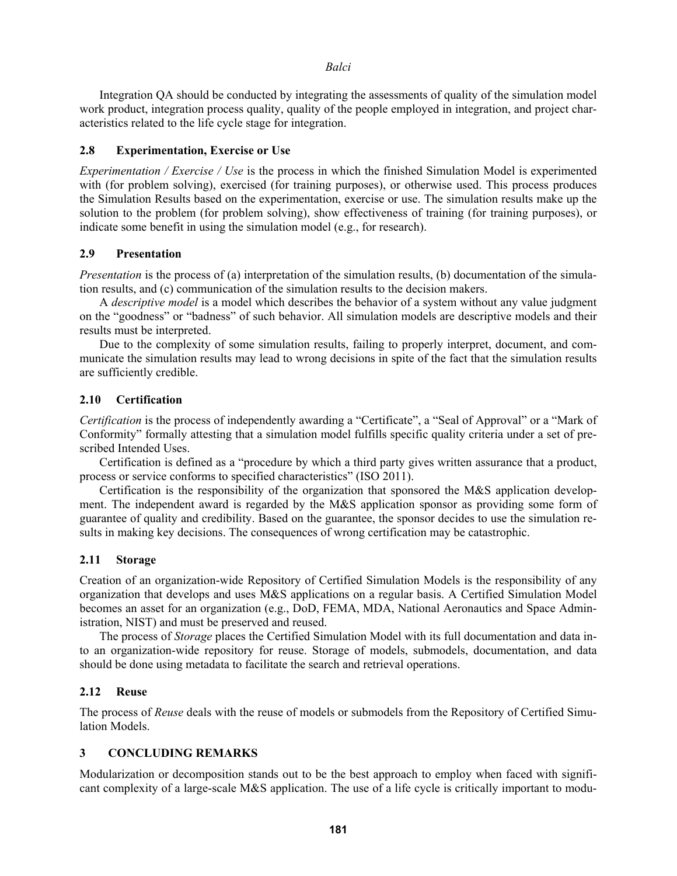Integration QA should be conducted by integrating the assessments of quality of the simulation model work product, integration process quality, quality of the people employed in integration, and project characteristics related to the life cycle stage for integration.

### **2.8 Experimentation, Exercise or Use**

*Experimentation / Exercise / Use* is the process in which the finished Simulation Model is experimented with (for problem solving), exercised (for training purposes), or otherwise used. This process produces the Simulation Results based on the experimentation, exercise or use. The simulation results make up the solution to the problem (for problem solving), show effectiveness of training (for training purposes), or indicate some benefit in using the simulation model (e.g., for research).

#### **2.9 Presentation**

*Presentation* is the process of (a) interpretation of the simulation results, (b) documentation of the simulation results, and (c) communication of the simulation results to the decision makers.

A *descriptive model* is a model which describes the behavior of a system without any value judgment on the "goodness" or "badness" of such behavior. All simulation models are descriptive models and their results must be interpreted.

Due to the complexity of some simulation results, failing to properly interpret, document, and communicate the simulation results may lead to wrong decisions in spite of the fact that the simulation results are sufficiently credible.

#### **2.10 Certification**

*Certification* is the process of independently awarding a "Certificate", a "Seal of Approval" or a "Mark of Conformity" formally attesting that a simulation model fulfills specific quality criteria under a set of prescribed Intended Uses.

Certification is defined as a "procedure by which a third party gives written assurance that a product, process or service conforms to specified characteristics" (ISO 2011).

Certification is the responsibility of the organization that sponsored the M&S application development. The independent award is regarded by the M&S application sponsor as providing some form of guarantee of quality and credibility. Based on the guarantee, the sponsor decides to use the simulation results in making key decisions. The consequences of wrong certification may be catastrophic.

## **2.11 Storage**

Creation of an organization-wide Repository of Certified Simulation Models is the responsibility of any organization that develops and uses M&S applications on a regular basis. A Certified Simulation Model becomes an asset for an organization (e.g., DoD, FEMA, MDA, National Aeronautics and Space Administration, NIST) and must be preserved and reused.

The process of *Storage* places the Certified Simulation Model with its full documentation and data into an organization-wide repository for reuse. Storage of models, submodels, documentation, and data should be done using metadata to facilitate the search and retrieval operations.

## **2.12 Reuse**

The process of *Reuse* deals with the reuse of models or submodels from the Repository of Certified Simulation Models.

## **3 CONCLUDING REMARKS**

Modularization or decomposition stands out to be the best approach to employ when faced with significant complexity of a large-scale M&S application. The use of a life cycle is critically important to modu-